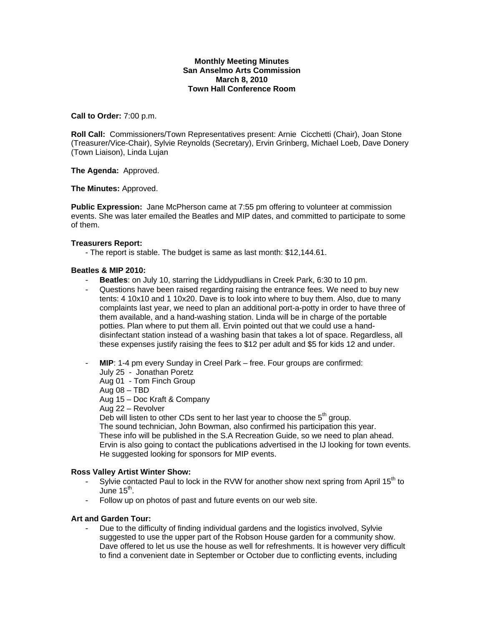## **Monthly Meeting Minutes San Anselmo Arts Commission March 8, 2010 Town Hall Conference Room**

**Call to Order:** 7:00 p.m.

**Roll Call:** Commissioners/Town Representatives present: Arnie Cicchetti (Chair), Joan Stone (Treasurer/Vice-Chair), Sylvie Reynolds (Secretary), Ervin Grinberg, Michael Loeb, Dave Donery (Town Liaison), Linda Lujan

**The Agenda:** Approved.

**The Minutes:** Approved.

**Public Expression:** Jane McPherson came at 7:55 pm offering to volunteer at commission events. She was later emailed the Beatles and MIP dates, and committed to participate to some of them.

#### **Treasurers Report:**

- The report is stable. The budget is same as last month: \$12,144.61.

#### **Beatles & MIP 2010:**

- **Beatles**: on July 10, starring the Liddypudlians in Creek Park, 6:30 to 10 pm.
- Questions have been raised regarding raising the entrance fees. We need to buy new tents: 4 10x10 and 1 10x20. Dave is to look into where to buy them. Also, due to many complaints last year, we need to plan an additional port-a-potty in order to have three of them available, and a hand-washing station. Linda will be in charge of the portable potties. Plan where to put them all. Ervin pointed out that we could use a handdisinfectant station instead of a washing basin that takes a lot of space. Regardless, all these expenses justify raising the fees to \$12 per adult and \$5 for kids 12 and under.
- **MIP**: 1-4 pm every Sunday in Creel Park free. Four groups are confirmed:
	- July 25 Jonathan Poretz
	- Aug 01 Tom Finch Group

#### Aug 08 – TBD

- Aug 15 Doc Kraft & Company
- Aug 22 Revolver

Deb will listen to other CDs sent to her last year to choose the  $5<sup>th</sup>$  group. The sound technician, John Bowman, also confirmed his participation this year. These info will be published in the S.A Recreation Guide, so we need to plan ahead. Ervin is also going to contact the publications advertised in the IJ looking for town events. He suggested looking for sponsors for MIP events.

## **Ross Valley Artist Winter Show:**

- Sylvie contacted Paul to lock in the RVW for another show next spring from April 15<sup>th</sup> to June  $15<sup>th</sup>$ .
- Follow up on photos of past and future events on our web site.

## **Art and Garden Tour:**

Due to the difficulty of finding individual gardens and the logistics involved, Sylvie suggested to use the upper part of the Robson House garden for a community show. Dave offered to let us use the house as well for refreshments. It is however very difficult to find a convenient date in September or October due to conflicting events, including